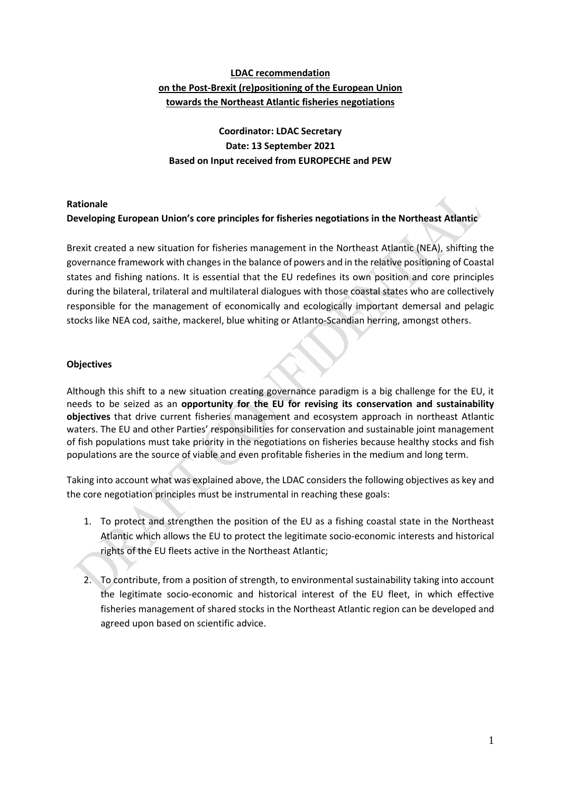# **LDAC recommendation on the Post-Brexit (re)positioning of the European Union towards the Northeast Atlantic fisheries negotiations**

# **Coordinator: LDAC Secretary Date: 13 September 2021 Based on Input received from EUROPECHE and PEW**

## **Rationale**

## **Developing European Union's core principles for fisheries negotiations in the Northeast Atlantic**

Brexit created a new situation for fisheries management in the Northeast Atlantic (NEA), shifting the governance framework with changes in the balance of powers and in the relative positioning of Coastal states and fishing nations. It is essential that the EU redefines its own position and core principles during the bilateral, trilateral and multilateral dialogues with those coastal states who are collectively responsible for the management of economically and ecologically important demersal and pelagic stocks like NEA cod, saithe, mackerel, blue whiting or Atlanto-Scandian herring, amongst others.

## **Objectives**

Although this shift to a new situation creating governance paradigm is a big challenge for the EU, it needs to be seized as an **opportunity for the EU for revising its conservation and sustainability objectives** that drive current fisheries management and ecosystem approach in northeast Atlantic waters. The EU and other Parties' responsibilities for conservation and sustainable joint management of fish populations must take priority in the negotiations on fisheries because healthy stocks and fish populations are the source of viable and even profitable fisheries in the medium and long term.

Taking into account what was explained above, the LDAC considers the following objectives as key and the core negotiation principles must be instrumental in reaching these goals:

- 1. To protect and strengthen the position of the EU as a fishing coastal state in the Northeast Atlantic which allows the EU to protect the legitimate socio-economic interests and historical rights of the EU fleets active in the Northeast Atlantic;
- 2. To contribute, from a position of strength, to environmental sustainability taking into account the legitimate socio-economic and historical interest of the EU fleet, in which effective fisheries management of shared stocks in the Northeast Atlantic region can be developed and agreed upon based on scientific advice.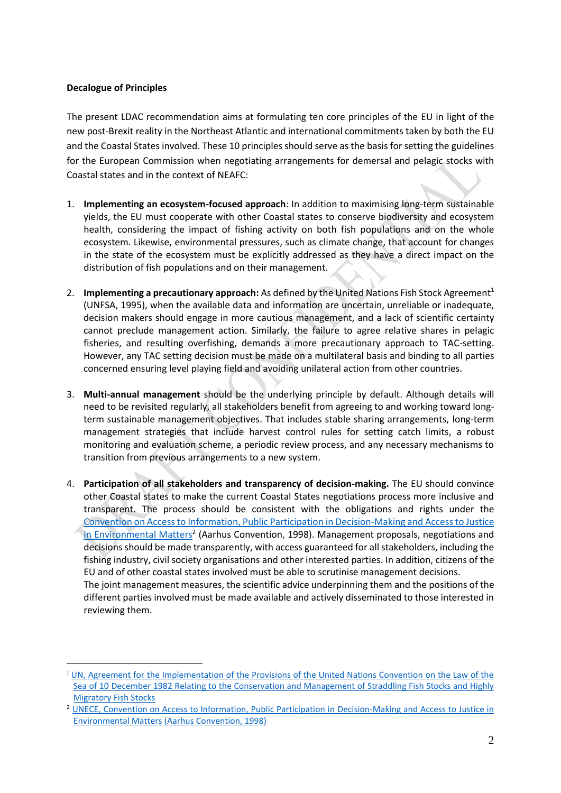## **Decalogue of Principles**

The present LDAC recommendation aims at formulating ten core principles of the EU in light of the new post-Brexit reality in the Northeast Atlantic and international commitments taken by both the EU and the Coastal States involved. These 10 principles should serve as the basis forsetting the guidelines for the European Commission when negotiating arrangements for demersal and pelagic stocks with Coastal states and in the context of NEAFC:

- 1. **Implementing an ecosystem-focused approach**: In addition to maximising long-term sustainable yields, the EU must cooperate with other Coastal states to conserve biodiversity and ecosystem health, considering the impact of fishing activity on both fish populations and on the whole ecosystem. Likewise, environmental pressures, such as climate change, that account for changes in the state of the ecosystem must be explicitly addressed as they have a direct impact on the distribution of fish populations and on their management.
- 2. **Implementing a precautionary approach:** As defined by the United Nations Fish Stock Agreement 1 (UNFSA, 1995), when the available data and information are uncertain, unreliable or inadequate, decision makers should engage in more cautious management, and a lack of scientific certainty cannot preclude management action. Similarly, the failure to agree relative shares in pelagic fisheries, and resulting overfishing, demands a more precautionary approach to TAC-setting. However, any TAC setting decision must be made on a multilateral basis and binding to all parties concerned ensuring level playing field and avoiding unilateral action from other countries.
- 3. **Multi-annual management** should be the underlying principle by default. Although details will need to be revisited regularly, all stakeholders benefit from agreeing to and working toward longterm sustainable management objectives. That includes stable sharing arrangements, long-term management strategies that include harvest control rules for setting catch limits, a robust monitoring and evaluation scheme, a periodic review process, and any necessary mechanisms to transition from previous arrangements to a new system.
- 4. **Participation of all stakeholders and transparency of decision-making.** The EU should convince other Coastal states to make the current Coastal States negotiations process more inclusive and transparent. The process should be consistent with the obligations and rights under the Convention on Access to Information, Public Participation in Decision-Making and Access to Justice in Environmental Matters<sup>2</sup> (Aarhus Convention, 1998). Management proposals, negotiations and decisions should be made transparently, with access guaranteed for all stakeholders, including the fishing industry, civil society organisations and other interested parties. In addition, citizens of the EU and of other coastal states involved must be able to scrutinise management decisions. The joint management measures, the scientific advice underpinning them and the positions of the different parties involved must be made available and actively disseminated to those interested in reviewing them.

<sup>1</sup> [UN, Agreement for the Implementation of the Provisions of the United Nations Convention on the Law of the](https://www.un.org/Depts/los/convention_agreements/texts/fish_stocks_agreement/CONF164_37.htm)  [Sea of 10 December 1982 Relating to the Conservation and Management of Straddling Fish Stocks and Highly](https://www.un.org/Depts/los/convention_agreements/texts/fish_stocks_agreement/CONF164_37.htm)  [Migratory Fish Stocks](https://www.un.org/Depts/los/convention_agreements/texts/fish_stocks_agreement/CONF164_37.htm)

<sup>&</sup>lt;sup>2</sup> UNECE, Convention on Access to Information, Public Participation in Decision-Making and Access to Justice in [Environmental Matters \(Aarhus Convention, 1998\)](https://www.unece.org/env/pp/treatytext.html)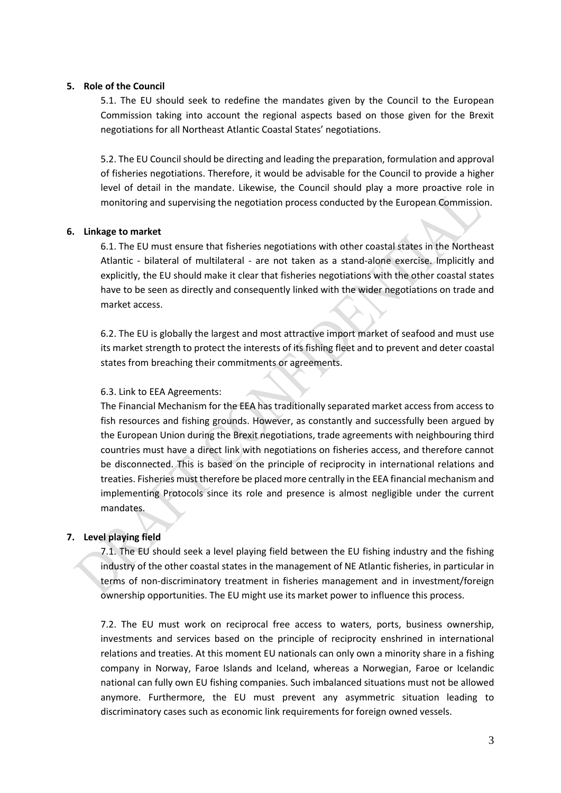#### **5. Role of the Council**

5.1. The EU should seek to redefine the mandates given by the Council to the European Commission taking into account the regional aspects based on those given for the Brexit negotiations for all Northeast Atlantic Coastal States' negotiations.

5.2. The EU Council should be directing and leading the preparation, formulation and approval of fisheries negotiations. Therefore, it would be advisable for the Council to provide a higher level of detail in the mandate. Likewise, the Council should play a more proactive role in monitoring and supervising the negotiation process conducted by the European Commission.

#### **6. Linkage to market**

6.1. The EU must ensure that fisheries negotiations with other coastal states in the Northeast Atlantic - bilateral of multilateral - are not taken as a stand-alone exercise. Implicitly and explicitly, the EU should make it clear that fisheries negotiations with the other coastal states have to be seen as directly and consequently linked with the wider negotiations on trade and market access.

6.2. The EU is globally the largest and most attractive import market of seafood and must use its market strength to protect the interests of its fishing fleet and to prevent and deter coastal states from breaching their commitments or agreements.

#### 6.3. Link to EEA Agreements:

The Financial Mechanism for the EEA has traditionally separated market access from access to fish resources and fishing grounds. However, as constantly and successfully been argued by the European Union during the Brexit negotiations, trade agreements with neighbouring third countries must have a direct link with negotiations on fisheries access, and therefore cannot be disconnected. This is based on the principle of reciprocity in international relations and treaties. Fisheries must therefore be placed more centrally in the EEA financial mechanism and implementing Protocols since its role and presence is almost negligible under the current mandates.

## **7. Level playing field**

7.1. The EU should seek a level playing field between the EU fishing industry and the fishing industry of the other coastal states in the management of NE Atlantic fisheries, in particular in terms of non-discriminatory treatment in fisheries management and in investment/foreign ownership opportunities. The EU might use its market power to influence this process.

7.2. The EU must work on reciprocal free access to waters, ports, business ownership, investments and services based on the principle of reciprocity enshrined in international relations and treaties. At this moment EU nationals can only own a minority share in a fishing company in Norway, Faroe Islands and Iceland, whereas a Norwegian, Faroe or Icelandic national can fully own EU fishing companies. Such imbalanced situations must not be allowed anymore. Furthermore, the EU must prevent any asymmetric situation leading to discriminatory cases such as economic link requirements for foreign owned vessels.